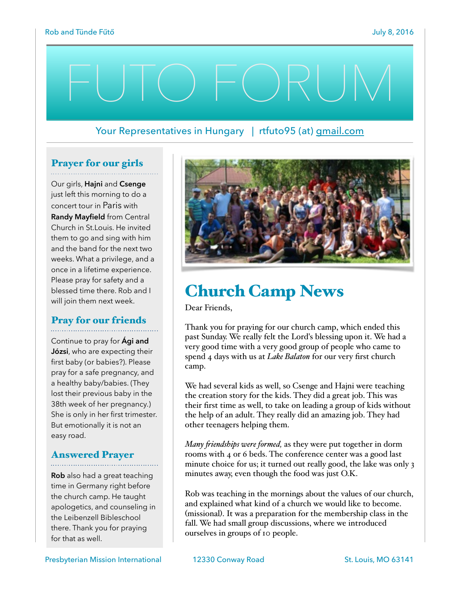# FUTO FORUM

### Your Representatives in Hungary | rtfuto95 (at) [gmail.com](http://gmail.com)

#### Prayer for our girls

Our girls, **Hajni** and **Csenge** just left this morning to do a concert tour in Paris with **Randy Mayfield** from Central Church in St.Louis. He invited them to go and sing with him and the band for the next two weeks. What a privilege, and a once in a lifetime experience. Please pray for safety and a blessed time there. Rob and I will join them next week.

# Pray for our friends

Continue to pray for **Ági and Józsi**, who are expecting their first baby (or babies?). Please pray for a safe pregnancy, and a healthy baby/babies. (They lost their previous baby in the 38th week of her pregnancy.) She is only in her first trimester. But emotionally it is not an easy road.

# Answered Prayer

**Rob** also had a great teaching time in Germany right before the church camp. He taught apologetics, and counseling in the Leibenzell Bibleschool there. Thank you for praying for that as well.



# Church Camp News

Dear Friends,

Thank you for praying for our church camp, which ended this past Sunday. We really felt the Lord's blessing upon it. We had a very good time with a very good group of people who came to spend 4 days with us at *Lake Balaton* for our very first church camp.

We had several kids as well, so Csenge and Hajni were teaching the creation story for the kids. They did a great job. This was their first time as well, to take on leading a group of kids without the help of an adult. They really did an amazing job. They had other teenagers helping them.

*Many fiendships were formed,* as they were put together in dorm rooms with 4 or 6 beds. The conference center was a good last minute choice for us; it turned out really good, the lake was only 3 minutes away, even though the food was just O.K.

Rob was teaching in the mornings about the values of our church, and explained what kind of a church we would like to become. (missional). It was a preparation for the membership class in the fall. We had small group discussions, where we introduced ourselves in groups of 10 people.